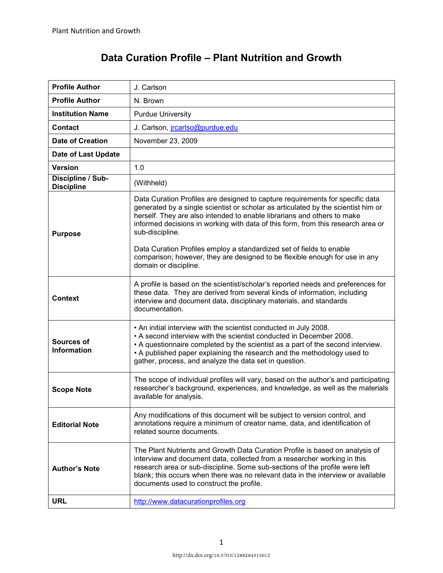| <b>Profile Author</b>                  | J. Carlson                                                                                                                                                                                                                                                                                                                                                              |  |  |  |
|----------------------------------------|-------------------------------------------------------------------------------------------------------------------------------------------------------------------------------------------------------------------------------------------------------------------------------------------------------------------------------------------------------------------------|--|--|--|
| <b>Profile Author</b>                  | N. Brown                                                                                                                                                                                                                                                                                                                                                                |  |  |  |
| <b>Institution Name</b>                | <b>Purdue University</b>                                                                                                                                                                                                                                                                                                                                                |  |  |  |
| <b>Contact</b>                         | J. Carlson, jrcarlso@purdue.edu                                                                                                                                                                                                                                                                                                                                         |  |  |  |
| <b>Date of Creation</b>                | November 23, 2009                                                                                                                                                                                                                                                                                                                                                       |  |  |  |
| Date of Last Update                    |                                                                                                                                                                                                                                                                                                                                                                         |  |  |  |
| <b>Version</b>                         | 1.0                                                                                                                                                                                                                                                                                                                                                                     |  |  |  |
| Discipline / Sub-<br><b>Discipline</b> | (Withheld)                                                                                                                                                                                                                                                                                                                                                              |  |  |  |
| <b>Purpose</b>                         | Data Curation Profiles are designed to capture requirements for specific data<br>generated by a single scientist or scholar as articulated by the scientist him or<br>herself. They are also intended to enable librarians and others to make<br>informed decisions in working with data of this form, from this research area or<br>sub-discipline.                    |  |  |  |
|                                        | Data Curation Profiles employ a standardized set of fields to enable<br>comparison; however, they are designed to be flexible enough for use in any<br>domain or discipline.                                                                                                                                                                                            |  |  |  |
| <b>Context</b>                         | A profile is based on the scientist/scholar's reported needs and preferences for<br>these data. They are derived from several kinds of information, including<br>interview and document data, disciplinary materials, and standards<br>documentation.                                                                                                                   |  |  |  |
| Sources of<br><b>Information</b>       | . An initial interview with the scientist conducted in July 2008.<br>• A second interview with the scientist conducted in December 2008.<br>• A questionnaire completed by the scientist as a part of the second interview.<br>• A published paper explaining the research and the methodology used to<br>gather, process, and analyze the data set in question.        |  |  |  |
| <b>Scope Note</b>                      | The scope of individual profiles will vary, based on the author's and participating<br>researcher's background, experiences, and knowledge, as well as the materials<br>available for analysis.                                                                                                                                                                         |  |  |  |
| <b>Editorial Note</b>                  | Any modifications of this document will be subject to version control, and<br>annotations require a minimum of creator name, data, and identification of<br>related source documents.                                                                                                                                                                                   |  |  |  |
| <b>Author's Note</b>                   | The Plant Nutrients and Growth Data Curation Profile is based on analysis of<br>interview and document data, collected from a researcher working in this<br>research area or sub-discipline. Some sub-sections of the profile were left<br>blank; this occurs when there was no relevant data in the interview or available<br>documents used to construct the profile. |  |  |  |
| <b>URL</b>                             | http://www.datacurationprofiles.org                                                                                                                                                                                                                                                                                                                                     |  |  |  |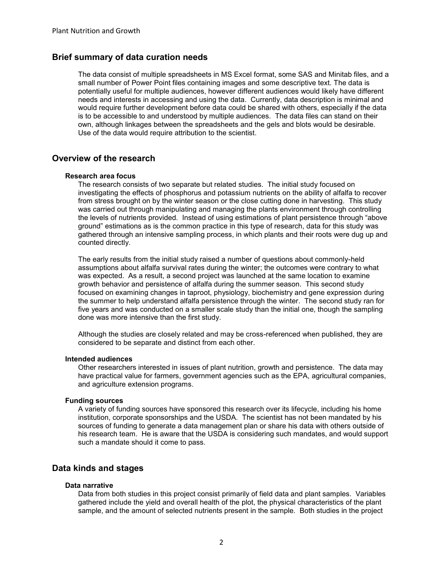# **Brief summary of data curation needs**

The data consist of multiple spreadsheets in MS Excel format, some SAS and Minitab files, and a small number of Power Point files containing images and some descriptive text. The data is potentially useful for multiple audiences, however different audiences would likely have different needs and interests in accessing and using the data. Currently, data description is minimal and would require further development before data could be shared with others, especially if the data is to be accessible to and understood by multiple audiences. The data files can stand on their own, although linkages between the spreadsheets and the gels and blots would be desirable. Use of the data would require attribution to the scientist.

# **Overview of the research**

#### **Research area focus**

The research consists of two separate but related studies. The initial study focused on investigating the effects of phosphorus and potassium nutrients on the ability of alfalfa to recover from stress brought on by the winter season or the close cutting done in harvesting. This study was carried out through manipulating and managing the plants environment through controlling the levels of nutrients provided. Instead of using estimations of plant persistence through "above ground" estimations as is the common practice in this type of research, data for this study was gathered through an intensive sampling process, in which plants and their roots were dug up and counted directly.

The early results from the initial study raised a number of questions about commonly-held assumptions about alfalfa survival rates during the winter; the outcomes were contrary to what was expected. As a result, a second project was launched at the same location to examine growth behavior and persistence of alfalfa during the summer season. This second study focused on examining changes in taproot, physiology, biochemistry and gene expression during the summer to help understand alfalfa persistence through the winter. The second study ran for five years and was conducted on a smaller scale study than the initial one, though the sampling done was more intensive than the first study.

Although the studies are closely related and may be cross-referenced when published, they are considered to be separate and distinct from each other.

#### **Intended audiences**

Other researchers interested in issues of plant nutrition, growth and persistence. The data may have practical value for farmers, government agencies such as the EPA, agricultural companies, and agriculture extension programs.

#### **Funding sources**

A variety of funding sources have sponsored this research over its lifecycle, including his home institution, corporate sponsorships and the USDA. The scientist has not been mandated by his sources of funding to generate a data management plan or share his data with others outside of his research team. He is aware that the USDA is considering such mandates, and would support such a mandate should it come to pass.

## **Data kinds and stages**

### **Data narrative**

Data from both studies in this project consist primarily of field data and plant samples. Variables gathered include the yield and overall health of the plot, the physical characteristics of the plant sample, and the amount of selected nutrients present in the sample. Both studies in the project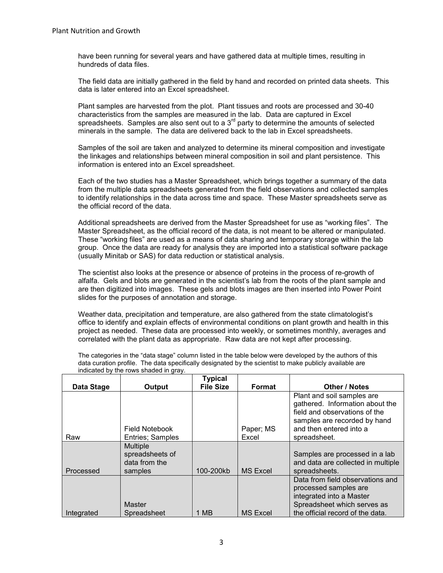have been running for several years and have gathered data at multiple times, resulting in hundreds of data files.

The field data are initially gathered in the field by hand and recorded on printed data sheets. This data is later entered into an Excel spreadsheet.

Plant samples are harvested from the plot. Plant tissues and roots are processed and 30-40 characteristics from the samples are measured in the lab. Data are captured in Excel spreadsheets. Samples are also sent out to a  $3<sup>rd</sup>$  party to determine the amounts of selected minerals in the sample. The data are delivered back to the lab in Excel spreadsheets.

Samples of the soil are taken and analyzed to determine its mineral composition and investigate the linkages and relationships between mineral composition in soil and plant persistence. This information is entered into an Excel spreadsheet.

Each of the two studies has a Master Spreadsheet, which brings together a summary of the data from the multiple data spreadsheets generated from the field observations and collected samples to identify relationships in the data across time and space. These Master spreadsheets serve as the official record of the data.

Additional spreadsheets are derived from the Master Spreadsheet for use as "working files". The Master Spreadsheet, as the official record of the data, is not meant to be altered or manipulated. These "working files" are used as a means of data sharing and temporary storage within the lab group. Once the data are ready for analysis they are imported into a statistical software package (usually Minitab or SAS) for data reduction or statistical analysis.

The scientist also looks at the presence or absence of proteins in the process of re-growth of alfalfa. Gels and blots are generated in the scientist's lab from the roots of the plant sample and are then digitized into images. These gels and blots images are then inserted into Power Point slides for the purposes of annotation and storage.

Weather data, precipitation and temperature, are also gathered from the state climatologist's office to identify and explain effects of environmental conditions on plant growth and health in this project as needed. These data are processed into weekly, or sometimes monthly, averages and correlated with the plant data as appropriate. Raw data are not kept after processing.

The categories in the "data stage" column listed in the table below were developed by the authors of this data curation profile. The data specifically designated by the scientist to make publicly available are indicated by the rows shaded in gray.

|            |                                                                | <b>Typical</b>   |                 |                                                                                                                                                           |
|------------|----------------------------------------------------------------|------------------|-----------------|-----------------------------------------------------------------------------------------------------------------------------------------------------------|
| Data Stage | Output                                                         | <b>File Size</b> | Format          | <b>Other / Notes</b>                                                                                                                                      |
|            | Field Notebook                                                 |                  | Paper; MS       | Plant and soil samples are<br>gathered. Information about the<br>field and observations of the<br>samples are recorded by hand<br>and then entered into a |
| Raw        | Entries; Samples                                               |                  | Excel           | spreadsheet.                                                                                                                                              |
| Processed  | <b>Multiple</b><br>spreadsheets of<br>data from the<br>samples | 100-200kb        | <b>MS Excel</b> | Samples are processed in a lab<br>and data are collected in multiple<br>spreadsheets.                                                                     |
| Integrated | <b>Master</b><br>Spreadsheet                                   | 1 MB             | <b>MS Excel</b> | Data from field observations and<br>processed samples are<br>integrated into a Master<br>Spreadsheet which serves as<br>the official record of the data.  |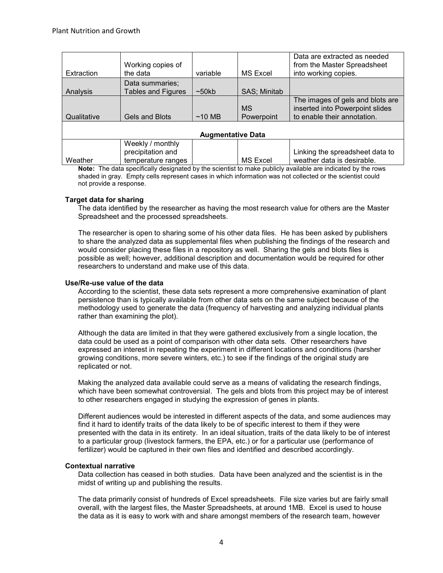| Extraction               | Working copies of<br>the data                               | variable | <b>MS Excel</b>         | Data are extracted as needed<br>from the Master Spreadsheet<br>into working copies.                |  |  |  |
|--------------------------|-------------------------------------------------------------|----------|-------------------------|----------------------------------------------------------------------------------------------------|--|--|--|
| Analysis                 | Data summaries:<br><b>Tables and Figures</b>                | ~50kb    | SAS; Minitab            |                                                                                                    |  |  |  |
| Qualitative              | Gels and Blots                                              | $~10$ MB | <b>MS</b><br>Powerpoint | The images of gels and blots are<br>inserted into Powerpoint slides<br>to enable their annotation. |  |  |  |
| <b>Augmentative Data</b> |                                                             |          |                         |                                                                                                    |  |  |  |
| Weather                  | Weekly / monthly<br>precipitation and<br>temperature ranges |          | <b>MS Excel</b>         | Linking the spreadsheet data to<br>weather data is desirable.                                      |  |  |  |

**Note:** The data specifically designated by the scientist to make publicly available are indicated by the rows shaded in gray. Empty cells represent cases in which information was not collected or the scientist could not provide a response.

## **Target data for sharing**

The data identified by the researcher as having the most research value for others are the Master Spreadsheet and the processed spreadsheets.

The researcher is open to sharing some of his other data files. He has been asked by publishers to share the analyzed data as supplemental files when publishing the findings of the research and would consider placing these files in a repository as well. Sharing the gels and blots files is possible as well; however, additional description and documentation would be required for other researchers to understand and make use of this data.

### **Use/Re-use value of the data**

According to the scientist, these data sets represent a more comprehensive examination of plant persistence than is typically available from other data sets on the same subject because of the methodology used to generate the data (frequency of harvesting and analyzing individual plants rather than examining the plot).

Although the data are limited in that they were gathered exclusively from a single location, the data could be used as a point of comparison with other data sets. Other researchers have expressed an interest in repeating the experiment in different locations and conditions (harsher growing conditions, more severe winters, etc.) to see if the findings of the original study are replicated or not.

Making the analyzed data available could serve as a means of validating the research findings, which have been somewhat controversial. The gels and blots from this project may be of interest to other researchers engaged in studying the expression of genes in plants.

Different audiences would be interested in different aspects of the data, and some audiences may find it hard to identify traits of the data likely to be of specific interest to them if they were presented with the data in its entirety. In an ideal situation, traits of the data likely to be of interest to a particular group (livestock farmers, the EPA, etc.) or for a particular use (performance of fertilizer) would be captured in their own files and identified and described accordingly.

### **Contextual narrative**

Data collection has ceased in both studies. Data have been analyzed and the scientist is in the midst of writing up and publishing the results.

The data primarily consist of hundreds of Excel spreadsheets. File size varies but are fairly small overall, with the largest files, the Master Spreadsheets, at around 1MB. Excel is used to house the data as it is easy to work with and share amongst members of the research team, however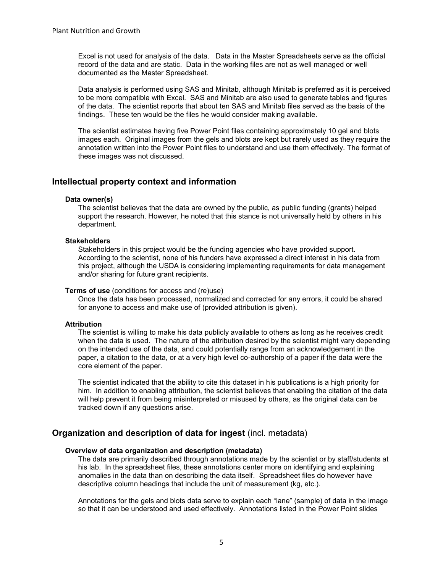Excel is not used for analysis of the data. Data in the Master Spreadsheets serve as the official record of the data and are static. Data in the working files are not as well managed or well documented as the Master Spreadsheet.

Data analysis is performed using SAS and Minitab, although Minitab is preferred as it is perceived to be more compatible with Excel. SAS and Minitab are also used to generate tables and figures of the data. The scientist reports that about ten SAS and Minitab files served as the basis of the findings. These ten would be the files he would consider making available.

The scientist estimates having five Power Point files containing approximately 10 gel and blots images each. Original images from the gels and blots are kept but rarely used as they require the annotation written into the Power Point files to understand and use them effectively. The format of these images was not discussed.

## **Intellectual property context and information**

#### **Data owner(s)**

The scientist believes that the data are owned by the public, as public funding (grants) helped support the research. However, he noted that this stance is not universally held by others in his department.

#### **Stakeholders**

Stakeholders in this project would be the funding agencies who have provided support. According to the scientist, none of his funders have expressed a direct interest in his data from this project, although the USDA is considering implementing requirements for data management and/or sharing for future grant recipients.

#### **Terms of use** (conditions for access and (re)use)

Once the data has been processed, normalized and corrected for any errors, it could be shared for anyone to access and make use of (provided attribution is given).

#### **Attribution**

The scientist is willing to make his data publicly available to others as long as he receives credit when the data is used. The nature of the attribution desired by the scientist might vary depending on the intended use of the data, and could potentially range from an acknowledgement in the paper, a citation to the data, or at a very high level co-authorship of a paper if the data were the core element of the paper.

The scientist indicated that the ability to cite this dataset in his publications is a high priority for him. In addition to enabling attribution, the scientist believes that enabling the citation of the data will help prevent it from being misinterpreted or misused by others, as the original data can be tracked down if any questions arise.

## **Organization and description of data for ingest** (incl. metadata)

#### **Overview of data organization and description (metadata)**

The data are primarily described through annotations made by the scientist or by staff/students at his lab. In the spreadsheet files, these annotations center more on identifying and explaining anomalies in the data than on describing the data itself. Spreadsheet files do however have descriptive column headings that include the unit of measurement (kg, etc.).

Annotations for the gels and blots data serve to explain each "lane" (sample) of data in the image so that it can be understood and used effectively. Annotations listed in the Power Point slides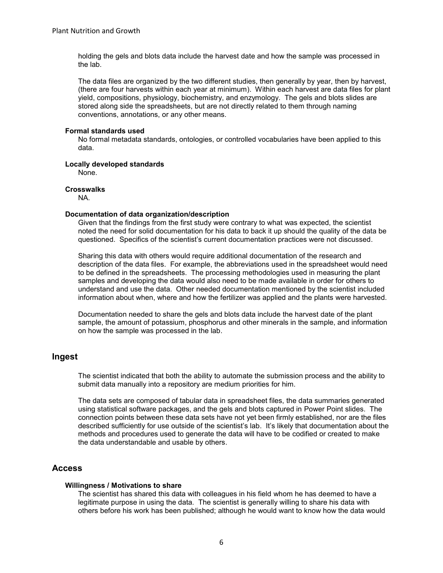holding the gels and blots data include the harvest date and how the sample was processed in the lab.

The data files are organized by the two different studies, then generally by year, then by harvest, (there are four harvests within each year at minimum). Within each harvest are data files for plant yield, compositions, physiology, biochemistry, and enzymology. The gels and blots slides are stored along side the spreadsheets, but are not directly related to them through naming conventions, annotations, or any other means.

### **Formal standards used**

No formal metadata standards, ontologies, or controlled vocabularies have been applied to this data.

## **Locally developed standards**

None.

## **Crosswalks**

NA.

## **Documentation of data organization/description**

Given that the findings from the first study were contrary to what was expected, the scientist noted the need for solid documentation for his data to back it up should the quality of the data be questioned. Specifics of the scientist's current documentation practices were not discussed.

Sharing this data with others would require additional documentation of the research and description of the data files. For example, the abbreviations used in the spreadsheet would need to be defined in the spreadsheets. The processing methodologies used in measuring the plant samples and developing the data would also need to be made available in order for others to understand and use the data. Other needed documentation mentioned by the scientist included information about when, where and how the fertilizer was applied and the plants were harvested.

Documentation needed to share the gels and blots data include the harvest date of the plant sample, the amount of potassium, phosphorus and other minerals in the sample, and information on how the sample was processed in the lab.

# **Ingest**

The scientist indicated that both the ability to automate the submission process and the ability to submit data manually into a repository are medium priorities for him.

The data sets are composed of tabular data in spreadsheet files, the data summaries generated using statistical software packages, and the gels and blots captured in Power Point slides. The connection points between these data sets have not yet been firmly established, nor are the files described sufficiently for use outside of the scientist's lab. It's likely that documentation about the methods and procedures used to generate the data will have to be codified or created to make the data understandable and usable by others.

# **Access**

### **Willingness / Motivations to share**

The scientist has shared this data with colleagues in his field whom he has deemed to have a legitimate purpose in using the data. The scientist is generally willing to share his data with others before his work has been published; although he would want to know how the data would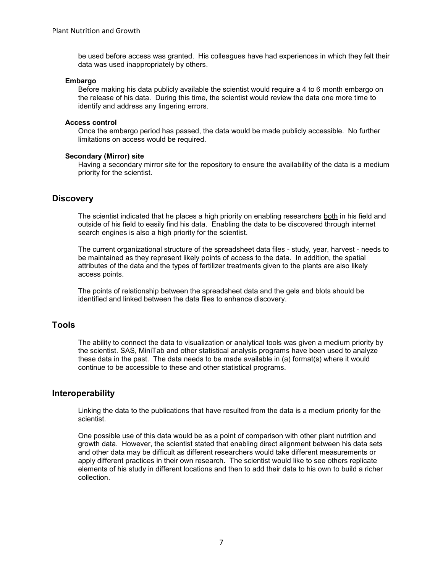be used before access was granted. His colleagues have had experiences in which they felt their data was used inappropriately by others.

#### **Embargo**

Before making his data publicly available the scientist would require a 4 to 6 month embargo on the release of his data. During this time, the scientist would review the data one more time to identify and address any lingering errors.

#### **Access control**

Once the embargo period has passed, the data would be made publicly accessible. No further limitations on access would be required.

#### **Secondary (Mirror) site**

Having a secondary mirror site for the repository to ensure the availability of the data is a medium priority for the scientist.

## **Discovery**

The scientist indicated that he places a high priority on enabling researchers both in his field and outside of his field to easily find his data. Enabling the data to be discovered through internet search engines is also a high priority for the scientist.

The current organizational structure of the spreadsheet data files - study, year, harvest - needs to be maintained as they represent likely points of access to the data. In addition, the spatial attributes of the data and the types of fertilizer treatments given to the plants are also likely access points.

The points of relationship between the spreadsheet data and the gels and blots should be identified and linked between the data files to enhance discovery.

## **Tools**

The ability to connect the data to visualization or analytical tools was given a medium priority by the scientist. SAS, MiniTab and other statistical analysis programs have been used to analyze these data in the past. The data needs to be made available in (a) format(s) where it would continue to be accessible to these and other statistical programs.

## **Interoperability**

Linking the data to the publications that have resulted from the data is a medium priority for the scientist.

One possible use of this data would be as a point of comparison with other plant nutrition and growth data. However, the scientist stated that enabling direct alignment between his data sets and other data may be difficult as different researchers would take different measurements or apply different practices in their own research. The scientist would like to see others replicate elements of his study in different locations and then to add their data to his own to build a richer collection.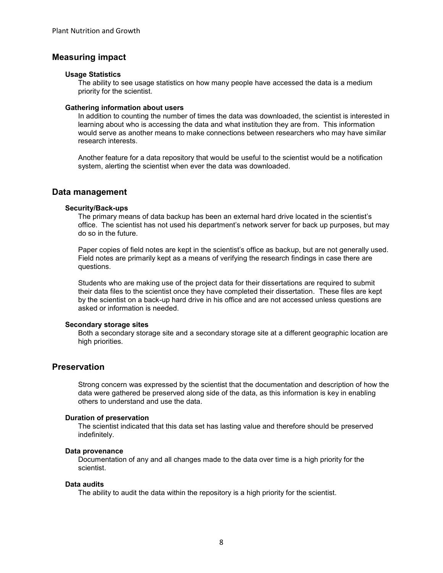# **Measuring impact**

#### **Usage Statistics**

The ability to see usage statistics on how many people have accessed the data is a medium priority for the scientist.

#### **Gathering information about users**

In addition to counting the number of times the data was downloaded, the scientist is interested in learning about who is accessing the data and what institution they are from. This information would serve as another means to make connections between researchers who may have similar research interests.

Another feature for a data repository that would be useful to the scientist would be a notification system, alerting the scientist when ever the data was downloaded.

#### **Data management**

#### **Security/Back-ups**

The primary means of data backup has been an external hard drive located in the scientist's office. The scientist has not used his department's network server for back up purposes, but may do so in the future.

Paper copies of field notes are kept in the scientist's office as backup, but are not generally used. Field notes are primarily kept as a means of verifying the research findings in case there are questions.

Students who are making use of the project data for their dissertations are required to submit their data files to the scientist once they have completed their dissertation. These files are kept by the scientist on a back-up hard drive in his office and are not accessed unless questions are asked or information is needed.

#### **Secondary storage sites**

Both a secondary storage site and a secondary storage site at a different geographic location are high priorities.

# **Preservation**

Strong concern was expressed by the scientist that the documentation and description of how the data were gathered be preserved along side of the data, as this information is key in enabling others to understand and use the data.

#### **Duration of preservation**

The scientist indicated that this data set has lasting value and therefore should be preserved indefinitely.

#### **Data provenance**

Documentation of any and all changes made to the data over time is a high priority for the scientist.

#### **Data audits**

The ability to audit the data within the repository is a high priority for the scientist.